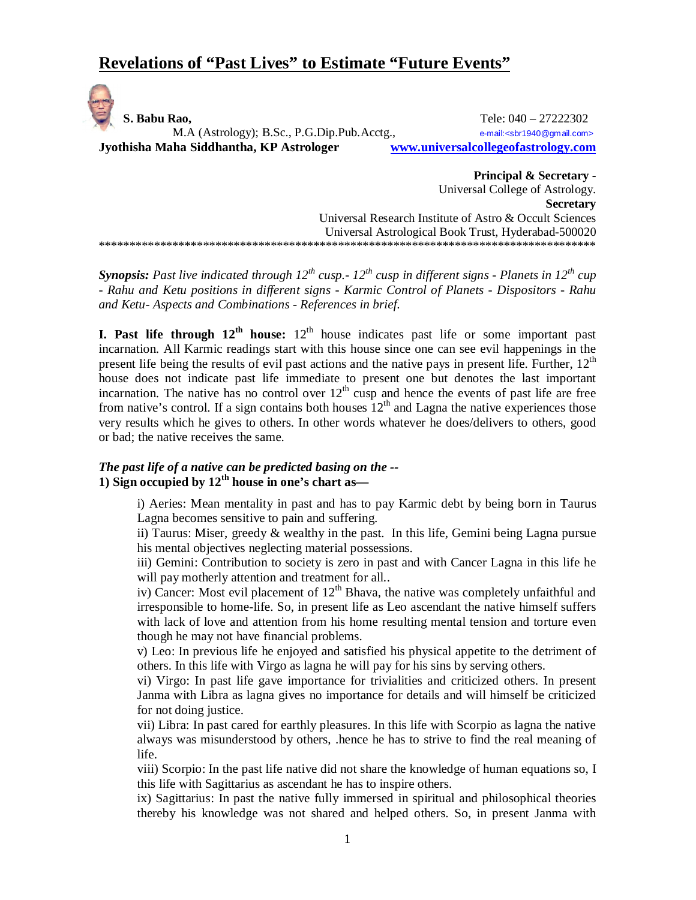# **Revelations of "Past Lives" to Estimate "Future Events"**

 **S. Babu Rao,** Tele: 040 – 27222302 M.A (Astrology); B.Sc., P.G.Dip.Pub.Acctg., e-mail:<sbr1940@gmail.com> **Jyothisha Maha Siddhantha, KP Astrologer www.universalcollegeofastrology.com**

**Principal & Secretary -** Universal College of Astrology. **Secretary** Universal Research Institute of Astro & Occult Sciences Universal Astrological Book Trust, Hyderabad-500020 \*\*\*\*\*\*\*\*\*\*\*\*\*\*\*\*\*\*\*\*\*\*\*\*\*\*\*\*\*\*\*\*\*\*\*\*\*\*\*\*\*\*\*\*\*\*\*\*\*\*\*\*\*\*\*\*\*\*\*\*\*\*\*\*\*\*\*\*\*\*\*\*\*\*\*\*\*\*\*\*\*

*Synopsis: Past live indicated through 12th cusp.- 12th cusp in different signs - Planets in 12th cup - Rahu and Ketu positions in different signs - Karmic Control of Planets - Dispositors - Rahu and Ketu- Aspects and Combinations - References in brief.* 

**I.** Past life through  $12<sup>th</sup>$  house:  $12<sup>th</sup>$  house indicates past life or some important past incarnation. All Karmic readings start with this house since one can see evil happenings in the present life being the results of evil past actions and the native pays in present life. Further, 12th house does not indicate past life immediate to present one but denotes the last important incarnation. The native has no control over  $12<sup>th</sup>$  cusp and hence the events of past life are free from native's control. If a sign contains both houses  $12<sup>th</sup>$  and Lagna the native experiences those very results which he gives to others. In other words whatever he does/delivers to others, good or bad; the native receives the same.

## *The past life of a native can be predicted basing on the --* **1) Sign occupied by 12th house in one's chart as—**

i) Aeries: Mean mentality in past and has to pay Karmic debt by being born in Taurus Lagna becomes sensitive to pain and suffering.

ii) Taurus: Miser, greedy & wealthy in the past. In this life, Gemini being Lagna pursue his mental objectives neglecting material possessions.

iii) Gemini: Contribution to society is zero in past and with Cancer Lagna in this life he will pay motherly attention and treatment for all..

iv) Cancer: Most evil placement of  $12<sup>th</sup>$  Bhava, the native was completely unfaithful and irresponsible to home-life. So, in present life as Leo ascendant the native himself suffers with lack of love and attention from his home resulting mental tension and torture even though he may not have financial problems.

v) Leo: In previous life he enjoyed and satisfied his physical appetite to the detriment of others. In this life with Virgo as lagna he will pay for his sins by serving others.

vi) Virgo: In past life gave importance for trivialities and criticized others. In present Janma with Libra as lagna gives no importance for details and will himself be criticized for not doing justice.

vii) Libra: In past cared for earthly pleasures. In this life with Scorpio as lagna the native always was misunderstood by others, .hence he has to strive to find the real meaning of life.

viii) Scorpio: In the past life native did not share the knowledge of human equations so, I this life with Sagittarius as ascendant he has to inspire others.

ix) Sagittarius: In past the native fully immersed in spiritual and philosophical theories thereby his knowledge was not shared and helped others. So, in present Janma with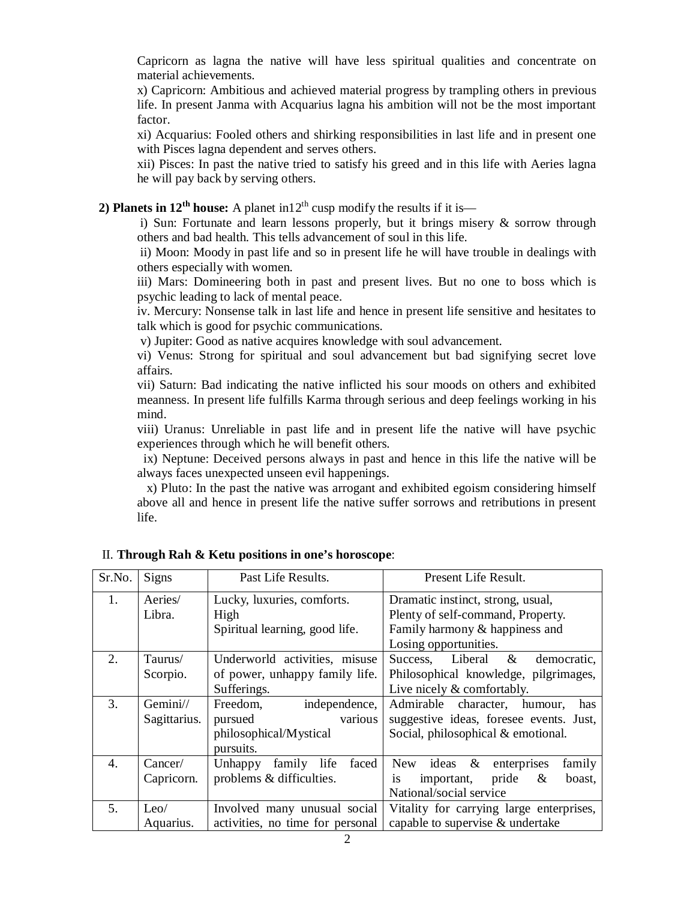Capricorn as lagna the native will have less spiritual qualities and concentrate on material achievements.

x) Capricorn: Ambitious and achieved material progress by trampling others in previous life. In present Janma with Acquarius lagna his ambition will not be the most important factor.

xi) Acquarius: Fooled others and shirking responsibilities in last life and in present one with Pisces lagna dependent and serves others.

xii) Pisces: In past the native tried to satisfy his greed and in this life with Aeries lagna he will pay back by serving others.

**2) Planets in**  $12^{th}$  **house:** A planet in  $12^{th}$  cusp modify the results if it is—

i) Sun: Fortunate and learn lessons properly, but it brings misery & sorrow through others and bad health. This tells advancement of soul in this life.

ii) Moon: Moody in past life and so in present life he will have trouble in dealings with others especially with women.

iii) Mars: Domineering both in past and present lives. But no one to boss which is psychic leading to lack of mental peace.

iv. Mercury: Nonsense talk in last life and hence in present life sensitive and hesitates to talk which is good for psychic communications.

v) Jupiter: Good as native acquires knowledge with soul advancement.

vi) Venus: Strong for spiritual and soul advancement but bad signifying secret love affairs.

vii) Saturn: Bad indicating the native inflicted his sour moods on others and exhibited meanness. In present life fulfills Karma through serious and deep feelings working in his mind.

viii) Uranus: Unreliable in past life and in present life the native will have psychic experiences through which he will benefit others.

 ix) Neptune: Deceived persons always in past and hence in this life the native will be always faces unexpected unseen evil happenings.

 x) Pluto: In the past the native was arrogant and exhibited egoism considering himself above all and hence in present life the native suffer sorrows and retributions in present life.

| Sr.No. | Signs        | Past Life Results.                 | Present Life Result.                        |
|--------|--------------|------------------------------------|---------------------------------------------|
| 1.     | Aeries/      | Lucky, luxuries, comforts.         | Dramatic instinct, strong, usual,           |
|        | Libra.       | High                               | Plenty of self-command, Property.           |
|        |              | Spiritual learning, good life.     | Family harmony & happiness and              |
|        |              |                                    | Losing opportunities.                       |
| 2.     | Taurus/      | Underworld activities, misuse      | Success, Liberal & democratic,              |
|        | Scorpio.     | of power, unhappy family life.     | Philosophical knowledge, pilgrimages,       |
|        |              | Sufferings.                        | Live nicely & comfortably.                  |
| 3.     | Gemini//     | independence,<br>Freedom,          | Admirable character, humour,<br>has         |
|        | Sagittarius. | various<br>pursued                 | suggestive ideas, foresee events. Just,     |
|        |              | philosophical/Mystical             | Social, philosophical & emotional.          |
|        |              | pursuits.                          |                                             |
| 4.     | Cancer/      | family<br>life<br>Unhappy<br>faced | New ideas $\&$<br>family<br>enterprises     |
|        | Capricorn.   | problems & difficulties.           | pride<br>$\&$<br>is<br>boast,<br>important, |
|        |              |                                    | National/social service                     |
| 5.     | Leo/         | Involved many unusual social       | Vitality for carrying large enterprises,    |
|        | Aquarius.    | activities, no time for personal   | capable to supervise & undertake            |

II. **Through Rah & Ketu positions in one's horoscope**: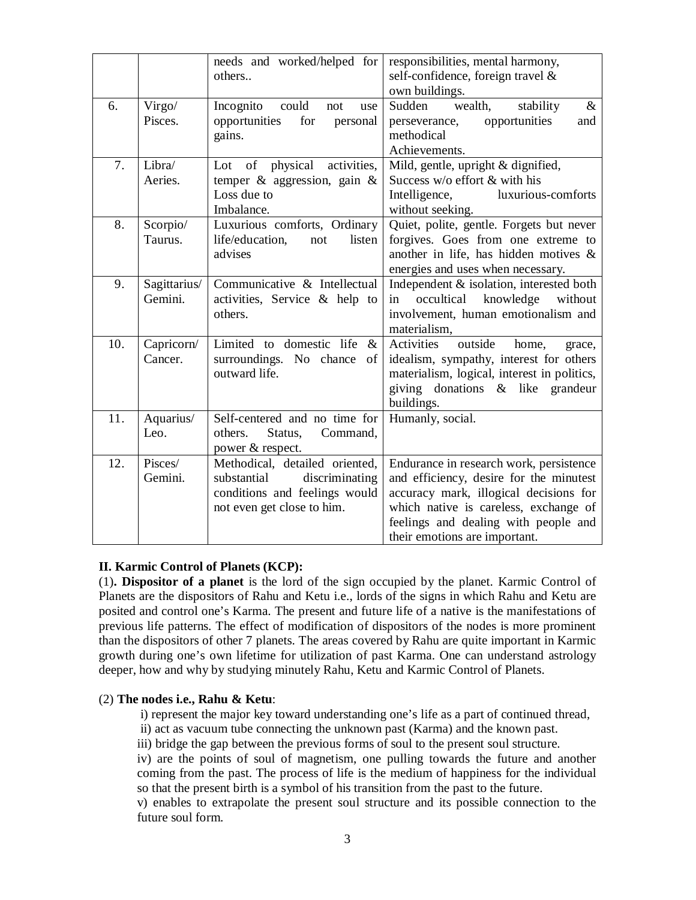|     |                         | needs and worked/helped for<br>others                                                                                          | responsibilities, mental harmony,<br>self-confidence, foreign travel &<br>own buildings.                                                                                                                                                       |
|-----|-------------------------|--------------------------------------------------------------------------------------------------------------------------------|------------------------------------------------------------------------------------------------------------------------------------------------------------------------------------------------------------------------------------------------|
| 6.  | Virgo/<br>Pisces.       | Incognito<br>could<br>not<br>use<br>for<br>opportunities<br>personal<br>gains.                                                 | Sudden<br>wealth,<br>stability<br>$\&$<br>opportunities<br>and<br>perseverance,<br>methodical<br>Achievements.                                                                                                                                 |
| 7.  | Libra/<br>Aeries.       | physical<br>of<br>activities,<br>Lot<br>temper $\&$ aggression, gain $\&$<br>Loss due to<br>Imbalance.                         | Mild, gentle, upright & dignified,<br>Success w/o effort & with his<br>luxurious-comforts<br>Intelligence,<br>without seeking.                                                                                                                 |
| 8.  | Scorpio/<br>Taurus.     | Luxurious comforts, Ordinary<br>life/education,<br>listen<br>not<br>advises                                                    | Quiet, polite, gentle. Forgets but never<br>forgives. Goes from one extreme to<br>another in life, has hidden motives $\&$<br>energies and uses when necessary.                                                                                |
| 9.  | Sagittarius/<br>Gemini. | Communicative & Intellectual<br>activities, Service & help to<br>others.                                                       | Independent & isolation, interested both<br>occultical knowledge<br>without<br>in<br>involvement, human emotionalism and<br>materialism,                                                                                                       |
| 10. | Capricorn/<br>Cancer.   | Limited to domestic life<br>$\&$<br>surroundings. No chance<br>$\circ$ f<br>outward life.                                      | Activities<br>outside<br>home,<br>grace,<br>idealism, sympathy, interest for others<br>materialism, logical, interest in politics,<br>giving donations & like grandeur<br>buildings.                                                           |
| 11. | Aquarius/<br>Leo.       | Self-centered and no time for<br>Status,<br>others.<br>Command,<br>power & respect.                                            | Humanly, social.                                                                                                                                                                                                                               |
| 12. | Pisces/<br>Gemini.      | Methodical, detailed oriented,<br>discriminating<br>substantial<br>conditions and feelings would<br>not even get close to him. | Endurance in research work, persistence<br>and efficiency, desire for the minutest<br>accuracy mark, illogical decisions for<br>which native is careless, exchange of<br>feelings and dealing with people and<br>their emotions are important. |

### **II. Karmic Control of Planets (KCP):**

(1)**. Dispositor of a planet** is the lord of the sign occupied by the planet. Karmic Control of Planets are the dispositors of Rahu and Ketu i.e., lords of the signs in which Rahu and Ketu are posited and control one's Karma. The present and future life of a native is the manifestations of previous life patterns. The effect of modification of dispositors of the nodes is more prominent than the dispositors of other 7 planets. The areas covered by Rahu are quite important in Karmic growth during one's own lifetime for utilization of past Karma. One can understand astrology deeper, how and why by studying minutely Rahu, Ketu and Karmic Control of Planets.

### (2) **The nodes i.e., Rahu & Ketu**:

i) represent the major key toward understanding one's life as a part of continued thread,

- ii) act as vacuum tube connecting the unknown past (Karma) and the known past.
- iii) bridge the gap between the previous forms of soul to the present soul structure.

iv) are the points of soul of magnetism, one pulling towards the future and another coming from the past. The process of life is the medium of happiness for the individual so that the present birth is a symbol of his transition from the past to the future.

v) enables to extrapolate the present soul structure and its possible connection to the future soul form.